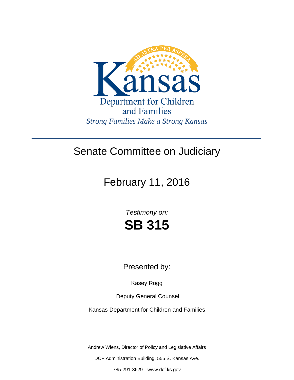

## Senate Committee on Judiciary

# February 11, 2016

*Testimony on:* **SB 315**

Presented by:

Kasey Rogg

Deputy General Counsel

Kansas Department for Children and Families

Andrew Wiens, Director of Policy and Legislative Affairs

DCF Administration Building, 555 S. Kansas Ave.

785-291-3629 www.dcf.ks.gov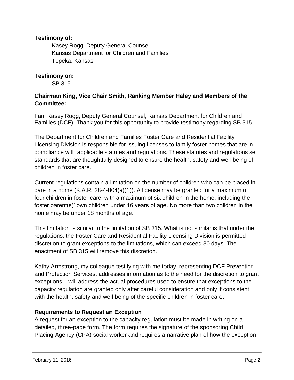## **Testimony of:**

 Kasey Rogg, Deputy General Counsel Kansas Department for Children and Families Topeka, Kansas

**Testimony on:** 

SB 315

## **Chairman King, Vice Chair Smith, Ranking Member Haley and Members of the Committee:**

I am Kasey Rogg, Deputy General Counsel, Kansas Department for Children and Families (DCF). Thank you for this opportunity to provide testimony regarding SB 315.

The Department for Children and Families Foster Care and Residential Facility Licensing Division is responsible for issuing licenses to family foster homes that are in compliance with applicable statutes and regulations. These statutes and regulations set standards that are thoughtfully designed to ensure the health, safety and well-being of children in foster care.

Current regulations contain a limitation on the number of children who can be placed in care in a home (K.A.R. 28-4-804(a)(1)). A license may be granted for a maximum of four children in foster care, with a maximum of six children in the home, including the foster parent(s)' own children under 16 years of age. No more than two children in the home may be under 18 months of age.

This limitation is similar to the limitation of SB 315. What is not similar is that under the regulations, the Foster Care and Residential Facility Licensing Division is permitted discretion to grant exceptions to the limitations, which can exceed 30 days. The enactment of SB 315 will remove this discretion.

Kathy Armstrong, my colleague testifying with me today, representing DCF Prevention and Protection Services, addresses information as to the need for the discretion to grant exceptions. I will address the actual procedures used to ensure that exceptions to the capacity regulation are granted only after careful consideration and only if consistent with the health, safety and well-being of the specific children in foster care.

## **Requirements to Request an Exception**

A request for an exception to the capacity regulation must be made in writing on a detailed, three-page form. The form requires the signature of the sponsoring Child Placing Agency (CPA) social worker and requires a narrative plan of how the exception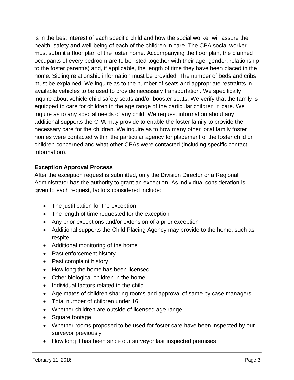is in the best interest of each specific child and how the social worker will assure the health, safety and well-being of each of the children in care. The CPA social worker must submit a floor plan of the foster home. Accompanying the floor plan, the planned occupants of every bedroom are to be listed together with their age, gender, relationship to the foster parent(s) and, if applicable, the length of time they have been placed in the home. Sibling relationship information must be provided. The number of beds and cribs must be explained. We inquire as to the number of seats and appropriate restraints in available vehicles to be used to provide necessary transportation. We specifically inquire about vehicle child safety seats and/or booster seats. We verify that the family is equipped to care for children in the age range of the particular children in care. We inquire as to any special needs of any child. We request information about any additional supports the CPA may provide to enable the foster family to provide the necessary care for the children. We inquire as to how many other local family foster homes were contacted within the particular agency for placement of the foster child or children concerned and what other CPAs were contacted (including specific contact information).

## **Exception Approval Process**

After the exception request is submitted, only the Division Director or a Regional Administrator has the authority to grant an exception. As individual consideration is given to each request, factors considered include:

- The justification for the exception
- The length of time requested for the exception
- Any prior exceptions and/or extension of a prior exception
- Additional supports the Child Placing Agency may provide to the home, such as respite
- Additional monitoring of the home
- Past enforcement history
- Past complaint history
- How long the home has been licensed
- Other biological children in the home
- Individual factors related to the child
- Age mates of children sharing rooms and approval of same by case managers
- Total number of children under 16
- Whether children are outside of licensed age range
- Square footage
- Whether rooms proposed to be used for foster care have been inspected by our surveyor previously
- How long it has been since our surveyor last inspected premises